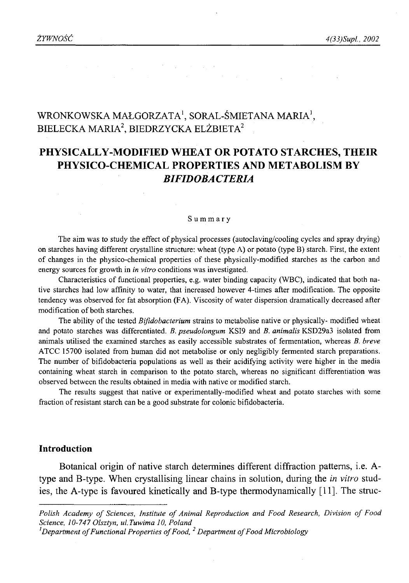# WRONKOWSKA MAŁGORZATA<sup>1</sup>, SORAL-ŚMIETANA MARIA<sup>1</sup>, BIELECKA MARIA<sup>2</sup>, BIEDRZYCKA ELŻBIETA<sup>2</sup>

## **PHYSICALLY-MODIFIED WHEAT OR POTATO STARCHES, THEIR PHYSICO-CHEMICAL PROPERTIES AND METABOLISM BY** *BIFIDOBACTERIA*

#### Summary

The aim was to study the effect of physical processes (autoclaving/cooling cycles and spray drying) on starches having different crystalline structure: wheat (type A) or potato (type B) starch. First, the extent of changes in the physico-chemical properties of these physically-modified starches as the carbon and energy sources for growth in *in vitro* conditions was investigated.

Characteristics of functional properties, e.g. water binding capacity (WBC), indicated that both native starches had low affinity to water, that increased however 4-times after modification. The opposite tendency was observed for fat absorption (FA). Viscosity of water dispersion dramatically decreased after modification of both starches.

The ability of the tested *Bifidobacterium* strains to metabolise native or physically- modified wheat and potato starches was differentiated. *B. pseudolongum* KSI9 and *B. animalis* KSD29a3 isolated from animals utilised the examined starches as easily accessible substrates of fermentation, whereas *B. breve* ATCC 15700 isolated from human did not metabolise or only negligibly fermented starch preparations. The number of bifidobacteria populations as well as their acidifying activity were higher in the media containing wheat starch in comparison to the potato starch, whereas no significant differentiation was observed between the results obtained in media with native or modified starch.

The results suggest that native or experimentally-modified wheat and potato starches with some fraction of resistant starch can be a good substrate for colonic bifidobacteria.

### **Introduction**

Botanical origin of native starch determines different diffraction patterns, i.e. Atype and B-type. When crystallising linear chains in solution, during the *in vitro* studies, the A-type is favoured kinetically and B-type thermodynamically [11]. The struc-

Polish Academy of Sciences, Institute of Animal Reproduction and Food Research, Division of Food *Science, 10-747 Olsztyn, ul.Tuwima 10, Poland*

<sup>&</sup>lt;sup>*l*</sup> Department of Functional Properties of Food, <sup>2</sup> Department of Food Microbiology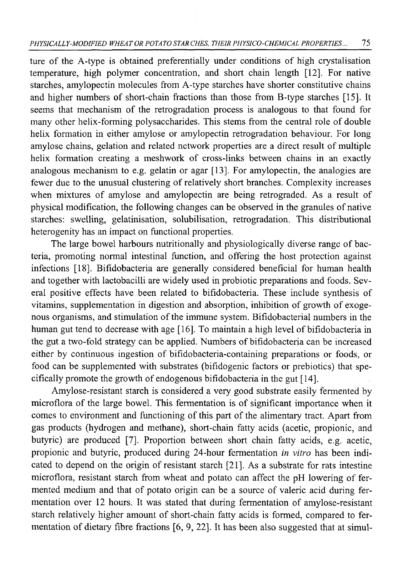ture of the A-type is obtained preferentially under conditions of high crystalisation temperature, high polymer concentration, and short chain length [12]. For native starches, amylopectin molecules from A-type starches have shorter constitutive chains and higher numbers of short-chain fractions than those from B-type starches [15]. It seems that mechanism of the retrogradation process is analogous to that found for many other helix-forming polysaccharides. This stems from the central role of double helix formation in either amylose or amylopectin retrogradation behaviour. For long amylose chains, gelation and related network properties are a direct result of multiple helix formation creating a meshwork of cross-links between chains in an exactly analogous mechanism to e.g. gelatin or agar [13]. For amylopectin, the analogies are fewer due to the unusual clustering of relatively short branches. Complexity increases when mixtures of amylose and amylopectin are being retrograded. As a result of physical modification, the following changes can be observed in the granules of native starches: swelling, gelatinisation, solubilisation, retrogradation. This distributional heterogenity has an impact on functional properties.

The large bowel harbours nutritionally and physiologically diverse range of bacteria, promoting normal intestinal function, and offering the host protection against infections [18]. Bifidobacteria are generally considered beneficial for human health and together with lactobacilli are widely used in probiotic preparations and foods. Several positive effects have been related to bifidobacteria. These include synthesis of vitamins, supplementation in digestion and absorption, inhibition of growth of exogenous organisms, and stimulation of the immune system. Bifidobacterial numbers in the human gut tend to decrease with age [16]. To maintain a high level of bifidobacteria in the gut a two-fold strategy can be applied. Numbers of bifidobacteria can be increased either by continuous ingestion of bifidobacteria-containing preparations or foods, or food can be supplemented with substrates (bifidogenic factors or prebiotics) that specifically promote the growth of endogenous bifidobacteria in the gut [14],

Amylose-resistant starch is considered a very good substrate easily fermented by microflora of the large bowel. This fermentation is of significant importance when it comes to environment and functioning of this part of the alimentary tract. Apart from gas products (hydrogen and methane), short-chain fatty acids (acetic, propionic, and butyric) are produced [7]. Proportion between short chain fatty acids, e.g. acetic, propionic and butyric, produced during 24-hour fermentation *in vitro* has been indicated to depend on the origin of resistant starch [21]. As a substrate for rats intestine microflora, resistant starch from wheat and potato can affect the pH lowering of fermented medium and that of potato origin can be a source of valeric acid during fermentation over 12 hours. It was stated that during fermentation of amylose-resistant starch relatively higher amount of short-chain fatty acids is formed, compared to fermentation of dietary fibre fractions  $[6, 9, 22]$ . It has been also suggested that at simul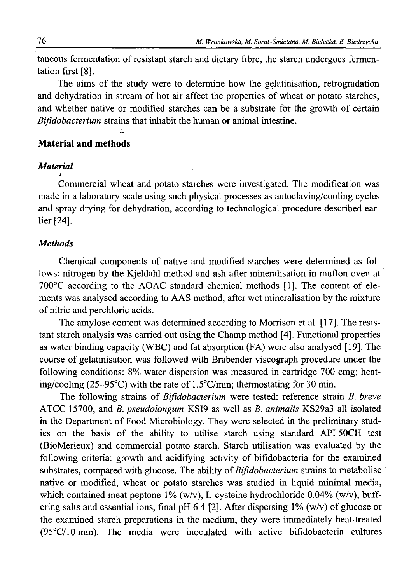taneous fermentation of resistant starch and dietary fibre, the starch undergoes fermentation first [8].

The aims of the study were to determine how the gelatinisation, retrogradation and dehydration in stream of hot air affect the properties of wheat or potato starches, and whether native or modified starches can be a substrate for the growth of certain *Bifidobacterium* strains that inhabit the human or animal intestine.

## **Material and methods**

#### *Material* **y**

Commercial wheat and potato starches were investigated. The modification was made in a laboratory scale using such physical processes as autoclaving/cooling cycles and spray-drying for dehydration, according to technological procedure described earlier [24].

### *Methods*

Chenjical components of native and modified starches were determined as follows: nitrogen by the Kjeldahl method and ash after mineralisation in muflon oven at  $700^{\circ}$ C according to the AOAC standard chemical methods [1]. The content of elements was analysed according to AAS method, after wet mineralisation by the mixture of nitric and perchloric acids.

The amylose content was determined according to Morrison et al. [17]. The resistant starch analysis was carried out using the Champ method [4]. Functional properties as water binding capacity (WBC) and fat absorption (FA) were also analysed [19]. The course of gelatinisation was followed with Brabender viscograph procedure under the following conditions: 8% water dispersion was measured in cartridge 700 cmg; heating/cooling (25-95°C) with the rate of 1.5°C/min; thermostating for 30 min.

The following strains of *Bifidobacterium* were tested: reference strain *B. breve* ATCC 15700, and *B. pseudolongum* KSI9 as well as *B. animalis* KS29a3 all isolated in the Department of Food Microbiology. They were selected in the preliminary studies on the basis of the ability to utilise starch using standard API 50CH test (BioMerieux) and commercial potato starch. Starch utilisation was evaluated by the following criteria: growth and acidifying activity of bifidobacteria for the examined substrates, compared with glucose. The ability of *Bifidobacterium* strains to metabolise native or modified, wheat or potato starches was studied in liquid minimal media, which contained meat peptone 1% (w/v), L-cysteine hydrochloride 0.04% (w/v), buffering salts and essential ions, final pH 6.4 [2]. After dispersing 1% (w/v) of glucose or the examined starch preparations in the medium, they were immediately heat-treated (95°C/10 min). The media were inoculated with active bifidobacteria cultures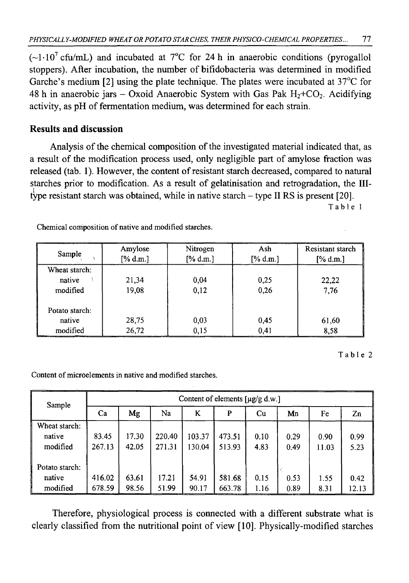$(-1.10^7 \text{ cftu/mL})$  and incubated at 7°C for 24 h in anaerobic conditions (pyrogallol stoppers). After incubation, the number of bifidobacteria was determined in modified Garche's medium [2] using the plate technique. The plates were incubated at 37°C for 48 h in anaerobic jars – Oxoid Anaerobic System with Gas Pak  $H_2+C_2$ . Acidifying activity, as pH of fermentation medium, was determined for each strain.

## **Results and discussion**

Analysis of the chemical composition of the investigated material indicated that, as a result of the modification process used, only negligible part of amylose fraction was released (tab. 1). However, the content of resistant starch decreased, compared to natural starches prior to modification. As a result of gelatinisation and retrogradation, the IIItype resistant starch was obtained, while in native starch  $-$  type II RS is present [20].

Table 1

| Sample                               | Amylose<br>[% d.m.] | Nitrogen<br>[% d.m.] | Ash<br>$[\%$ d.m.] | Resistant starch<br>$[\%$ d.m.] |
|--------------------------------------|---------------------|----------------------|--------------------|---------------------------------|
| Wheat starch:<br>native<br>modified  | 21,34<br>19,08      | 0,04<br>0.12         | 0,25<br>0,26       | 22,22<br>7.76                   |
| Potato starch:<br>native<br>modified | 28,75<br>26,72      | 0,03<br>0,15         | 0.45<br>0,41       | 61,60<br>8,58                   |

Chemical composition of native and modified starches.

Table 2

Content of microelements in native and modified starches.

| Sample                               | Content of elements $[\mu g/g d.w.]$ |                |                  |                  |                  |              |              |               |               |
|--------------------------------------|--------------------------------------|----------------|------------------|------------------|------------------|--------------|--------------|---------------|---------------|
|                                      | Ca                                   | Mg             | Na               | K                | P                | Cu           | Mn           | Fe            | Zn            |
| Wheat starch:<br>native<br>modified  | 83.45<br>267.13                      | 17.30<br>42.05 | 220.40<br>271.31 | 103.37<br>130.04 | 473.51<br>513.93 | 0.10<br>4.83 | 0.29<br>0.49 | 0.90<br>11.03 | 0.99<br>5.23  |
| Potato starch:<br>native<br>modified | 416.02<br>678.59                     | 63.61<br>98.56 | 17.21<br>51.99   | 54.91<br>90.17   | 581.68<br>663.78 | 0.15<br>1.16 | 0.53<br>0.89 | 1.55<br>8.31  | 0.42<br>12.13 |

Therefore, physiological process is connected with a different substrate what is clearly classified from the nutritional point of view [10]. Physically-modified starches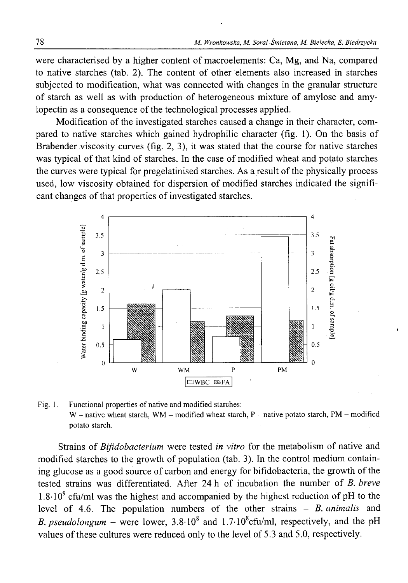were characterised by a higher content of macroelements: Ca, Mg, and Na, compared to native starches (tab. 2). The content of other elements also increased in starches subjected to modification, what was connected with changes in the granular structure of starch as well as with production of heterogeneous mixture of amylose and amylopectin as a consequence of the technological processes applied.

Modification of the investigated starches caused a change in their character, compared to native starches which gained hydrophilic character (fig. 1). On the basis of Brabender viscosity curves (fig. 2, 3), it was stated that the course for native starches was typical of that kind of starches. In the case of modified wheat and potato starches the curves were typical for pregelatinised starches. As a result of the physically process used, low viscosity obtained for dispersion of modified starches indicated the significant changes of that properties of investigated starches.



Fig. 1. Functional properties of native and modified starches: W - native wheat starch, WM - modified wheat starch, P - native potato starch, PM - modified potato starch.

Strains of *Bifidobacterium* were tested *in vitro* for the metabolism of native and modified starches to the growth of population (tab. 3). In the control medium containing glucose as a good source of carbon and energy for bifidobacteria, the growth of the tested strains was differentiated. After 24 h of incubation the number of *B. breve*  $1.8\cdot10^{9}$  cfu/ml was the highest and accompanied by the highest reduction of pH to the level of 4.6. The population numbers of the other strains - *B. animalis* and *B. pseudolongum –* were lower,  $3.8 \cdot 10^8$  and  $1.7 \cdot 10^8$ cfu/ml, respectively, and the pH values of these cultures were reduced only to the level of 5.3 and 5.0, respectively.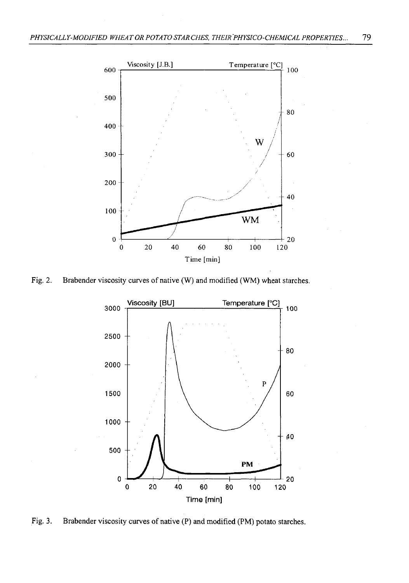

Fig. 2. Brabender viscosity curves of native (W) and modified (WM) wheat starches.



Fig. 3. Brabender viscosity curves of native (P) and modified (PM) potato starches.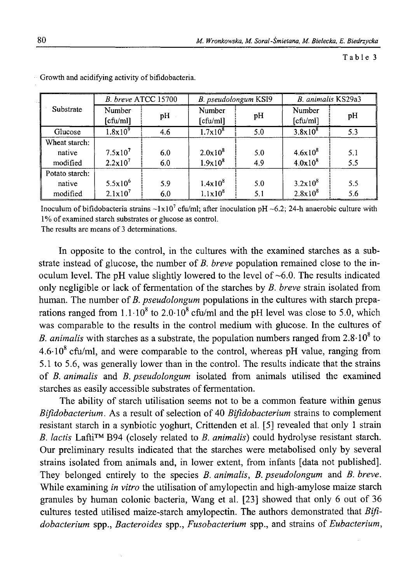Table 3

|                | B. breve ATCC 15700 |     | B. pseudolongum KSI9 |     | B. animalis KS29a3 |     |
|----------------|---------------------|-----|----------------------|-----|--------------------|-----|
| Substrate      | Number<br>[cfu/ml]  | pH  | Number<br>[cfu/ml]   | pH  | Number<br>[cfu/ml] | pH  |
| Glucose        | $1.8x10^{9}$        | 4.6 | $1.7x10^{8}$         | 5.0 | $3.8x10^{8}$       | 5.3 |
| Wheat starch:  |                     |     |                      |     |                    |     |
| native         | $7.5x10^7$          | 6.0 | $2.0x10^{8}$         | 5.0 | $4.6x10^{8}$       | 5.1 |
| modified       | $2.2 \times 10^7$   | 6.0 | $1.9x10^{8}$         | 4.9 | $4.0x10^{8}$       | 5.5 |
| Potato starch: |                     |     |                      |     |                    |     |
| native         | $5.5x10^{6}$        | 5.9 | $1.4x10^{8}$         | 5.0 | $3.2 \times 10^8$  | 5.5 |
| modified       | $2.1x10^{7}$        | 6.0 | $1.1 \times 10^8$    | 5,1 | $2.8x10^{8}$       | 5.6 |

Growth and acidifying activity of bifidobacteria.

Inoculum of bifidobacteria strains  $\sim 1 \times 10^7$  cfu/ml; after inoculation pH  $\sim 6.2$ ; 24-h anaerobic culture with 1% of examined starch substrates or glucose as control.

The results are means of 3 determinations.

In opposite to the control, in the cultures with the examined starches as a substrate instead of glucose, the number of *B. breve* population remained close to the inoculum level. The pH value slightly lowered to the level of  $\sim 6.0$ . The results indicated only negligible or lack of fermentation of the starches by *B. breve* strain isolated from human. The number of *B. pseudolongum* populations in the cultures with starch preparations ranged from  $1.1 \cdot 10^8$  to  $2.0 \cdot 10^8$  cfu/ml and the pH level was close to 5.0, which was comparable to the results in the control medium with glucose. In the cultures of *B. animalis* with starches as a substrate, the population numbers ranged from  $2.8 \cdot 10^8$  to  $4.6 \cdot 10^8$  cfu/ml. and were comparable to the control, whereas pH value, ranging from 5.1 to 5.6, was generally lower than in the control. The results indicate that the strains of *B. animalis* and *B. pseudolongum* isolated from animals utilised the examined starches as easily accessible substrates of fermentation.

The ability of starch utilisation seems not to be a common feature within genus *Bifidobacterium.* As a result of selection of 40 *Bifidobacterium* strains to complement resistant starch in a synbiotic yoghurt, Crittenden et al. [5] revealed that only 1 strain *B. lactis* Lafti™ B94 (closely related to *B. animalis*) could hydrolyse resistant starch. Our preliminary results indicated that the starches were metabolised only by several strains isolated from animals and, in lower extent, from infants [data not published]. They belonged entirely to the species *B. animalis*, *B. pseudolongum* and *B. breve.* While examining *in vitro* the utilisation of amylopectin and high-amylose maize starch granules by human colonic bacteria, Wang et al. [23] showed that only 6 out of 36 cultures tested utilised maize-starch amylopectin. The authors demonstrated that *Bifidobacterium* spp., *Bacteroides* spp., *Fusobacterium* spp., and strains of *Eubacterium,*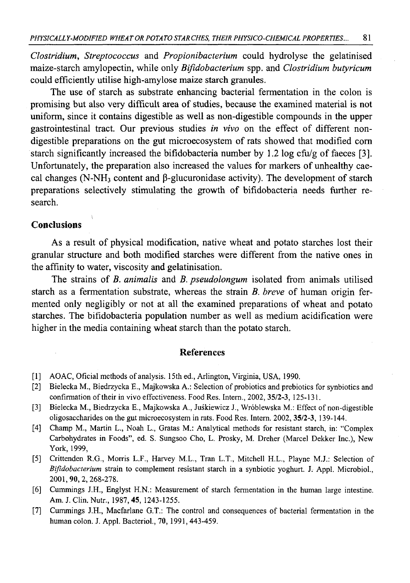*Clostridium, Streptococcus* and *Propionibacterium* could hydrolyse the gelatinised maize-starch amylopectin, while only *Bifidobacterium* spp. and *Clostridium butyricum* could efficiently utilise high-amylose maize starch granules.

The use of starch as substrate enhancing bacterial fermentation in the colon is promising but also very difficult area of studies, because the examined material is not uniform, since it contains digestible as well as non-digestible compounds in the upper gastrointestinal tract. Our previous studies *in vivo* on the effect of different nondigestible preparations on the gut microecosystem of rats showed that modified com starch significantly increased the bifidobacteria number by 1.2 log cfu/g of faeces [3]. Unfortunately, the preparation also increased the values for markers of unhealthy caecal changes (N-NH<sub>3</sub> content and  $\beta$ -glucuronidase activity). The development of starch preparations selectively stimulating the growth of bifidobacteria needs further research.

### **Conclusions**

As a result of physical modification, native wheat and potato starches lost their granular structure and both modified starches were different from the native ones in the affinity to water, viscosity and gelatinisation.

The strains of *B. animalis* and *B. pseudolongum* isolated from animals utilised starch as a fermentation substrate, whereas the strain *B. breve* of human origin fermented only negligibly or not at all the examined preparations of wheat and potato starches. The bifidobacteria population number as well as medium acidification were higher in the media containing wheat starch than the potato starch.

### **References**

- [1] AOAC, Oficial methods of analysis. 15th ed., Arlington, Virginia, USA, 1990.
- [2] Bielecka M., Biedrzycka E., Majkowska A.: Selection of probiotics and prebiotics for synbiotics and confirmation of their in vivo effectiveness. Food Res. Intern., 2002, 35/2-3, 125-131.
- [3] Bielecka M., Biedrzycka E., Majkowska A., Juśkiewicz J., Wróblewska M.: Effect of non-digestible oligosaccharides on the gut microecosystem in rats. Food Res. Intern. 2002, 35/2-3, 139-144.
- [4] Champ M., Martin L., Noah L., Gratas M.: Analytical methods for resistant starch, in: "Complex Carbohydrates in Foods", ed. S. Sungsoo Cho, L. Prosky, M. Dreher (Marcel Dekker Inc.), New York, 1999,
- [5] Crittenden R.G., Morris L.F., Harvey M.L., Tran L.T., Mitchell H.L., Playne M.J.: Selection of *Bifidobacterium* strain to complement resistant starch in a synbiotic yoghurt. J. Appl. Microbiol., 2001,90,2,268-278.
- [6] Cummings J.H., Englyst H.N.: Measurement of starch fermentation in the human large intestine. Am. J. Clin. Nutr., 1987, 45, 1243-1255.
- [7] Cummings J.H., Macfarlane G.T.: The control and consequences of bacterial fermentation in the human colon. J. Appl. Bacteriol., 70,1991,443-459.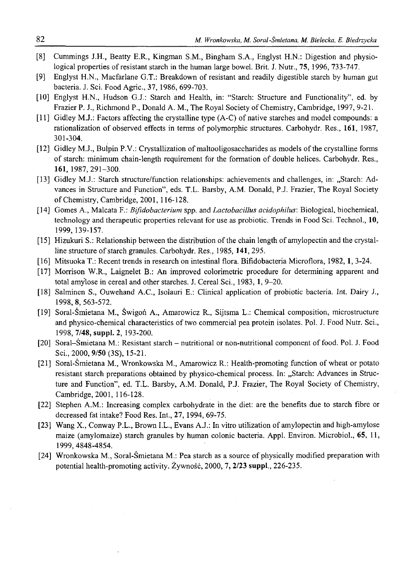- [8] Cummings J.H., Beatty E.R., Kingman S.M., Bingham S.A., Englyst H.N.: Digestion and physiological properties of resistant starch in the human large bowel. Brit. J. Nutr., 75, 1996, 733-747.
- [9] Englyst H.N., Macfarlane G.T.: Breakdown of resistant and readily digestible starch by human gut bacteria. J. Sci. Food Agric., **37,** 1986, 699-703.
- [10] Englyst H.N., Hudson G.J.: Starch and Health, in: "Starch: Structure and Functionality", ed. by Frazier P. J., Richmond P., Donald A. M,, The Royal Society of Chemistry, Cambridge, 1997, 9-21.
- [11] Gidley M.J.: Factors affecting the crystalline type (A-C) of native starches and model compounds: a rationalization of observed effects in terms of polymorphic structures. Carbohydr. Res., 161, 1987, 301-304.
- [12] Gidley M.J., Bulpin P.V.: Crystallization of maltooligosaccharides as models of the crystalline forms of starch: minimum chain-length requirement for the formation of double helices. Carbohydr. Res., 161,1987,291-300.
- [13] Gidley M.J.: Starch structure/function relationships: achievements and challenges, in: "Starch: Advances in Structure and Function", eds. T.L. Barsby, A.M. Donald, P.J. Frazier, The Royal Society of Chemistry, Cambridge, 2001, 116-128.
- [14] Gomes A., Malcata F.: *Bifidobacterium* spp. and *Lactobacillus acidophilus*: Biological, biochemical, technology and therapeutic properties relevant for use as probiotic. Trends in Food Sci. Technol., 10, 1999, 139-157.
- [15] Hizukuri S.: Relationship between the distribution of the chain length of amylopectin and the crystalline structure of starch granules. Carbohydr. Res., 1985,**141,** 295.
- [16] Mitsuoka T.: Recent trends in research on intestinal flora. Bifidobacteria Microflora, 1982,1, 3-24.
- [17] Morrison W.R., Laignelet B.: An improved colorimetric procedure for determining apparent and total amylose in cereal and other starches. J. Cereal Sci., 1983,1, 9-20.
- [18] Salminen S., Ouwehand A.C., Isolauri E.: Clinical application of probiotic bacteria. Int. Dairy J., 1998, 8, 563-572.
- [19] Soral-Śmietana M., Świgoń A., Amarowicz R., Sijtsma L.: Chemical composition, microstructure and physico-chemical characteristics of two commercial pea protein isolates. Pol. J. Food Nutr. Sci., 1998, **7/48, suppl. 2,** 193-200.
- [20] Soral-Śmietana M.: Resistant starch nutritional or non-nutritional component of food. Pol. J. Food Sci., 2000, 9/50 (3S), 15-21.
- [21] Soral-Śmietana M., Wronkowska M., Amarowicz R.: Health-promoting function of wheat or potato resistant starch preparations obtained by physico-chemical process. In: "Starch: Advances in Structure and Function", ed. T.L. Barsby, A.M. Donald, P.J. Frazier, The Royal Society of Chemistry, Cambridge, 2001, 116-128.
- [22] Stephen A.M.: Increasing complex carbohydrate in the diet: are the benefits due to starch fibre or decreased fat intake? Food Res. Int., 27, 1994, 69-75.
- [23] Wang X., Conway P.L., Brown I.L., Evans A.J.: In vitro utilization of amylopectin and high-amylose maize (amylomaize) starch granules by human colonic bacteria. Appl. Environ. Microbiol., 65, 11, 1999,4848-4854.
- [24] Wronkowska M., Soral-Śmietana M.: Pea starch as a source of physically modified preparation with potential health-promoting activity. Żywność, 2000, **7, 2/23 suppl.,** 226-235.